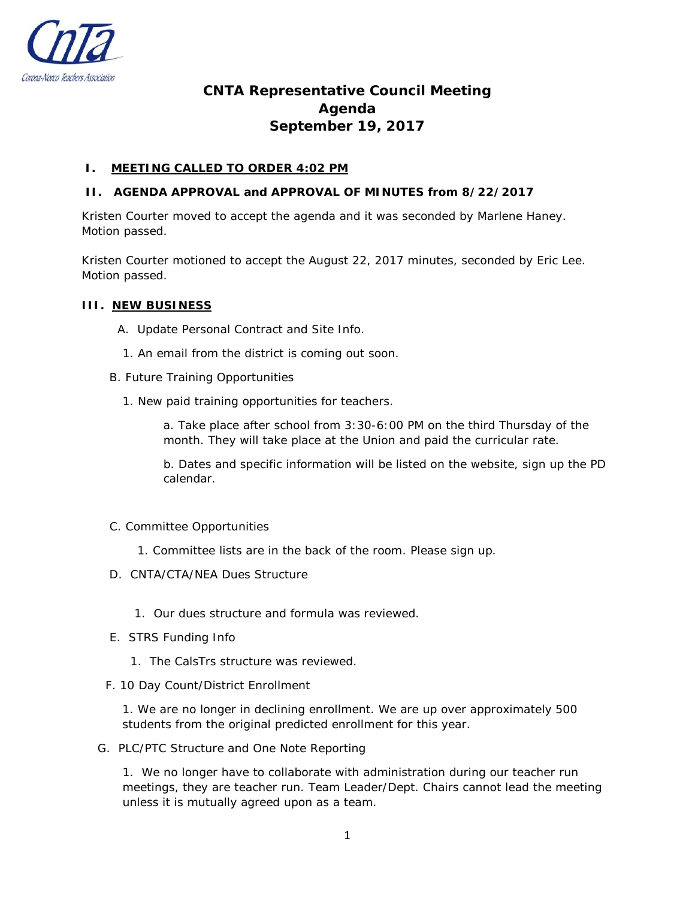

# **CNTA Representative Council Meeting Agenda September 19, 2017**

# **I. MEETING CALLED TO ORDER 4:02 PM**

# **II. AGENDA APPROVAL and APPROVAL OF MINUTES from 8/22/2017**

Kristen Courter moved to accept the agenda and it was seconded by Marlene Haney. Motion passed.

Kristen Courter motioned to accept the August 22, 2017 minutes, seconded by Eric Lee. Motion passed.

## **III. NEW BUSINESS**

- A. Update Personal Contract and Site Info.
- 1. An email from the district is coming out soon.
- B. Future Training Opportunities
	- 1. New paid training opportunities for teachers.

a. Take place after school from 3:30-6:00 PM on the third Thursday of the month. They will take place at the Union and paid the curricular rate.

b. Dates and specific information will be listed on the website, sign up the PD calendar.

- C. Committee Opportunities
	- 1. Committee lists are in the back of the room. Please sign up.
- D. CNTA/CTA/NEA Dues Structure
	- 1. Our dues structure and formula was reviewed.
- E. STRS Funding Info
	- 1. The CalsTrs structure was reviewed.
- F. 10 Day Count/District Enrollment

1. We are no longer in declining enrollment. We are up over approximately 500 students from the original predicted enrollment for this year.

G. PLC/PTC Structure and One Note Reporting

1. We no longer have to collaborate with administration during our teacher run meetings, they are teacher run. Team Leader/Dept. Chairs cannot lead the meeting unless it is mutually agreed upon as a team.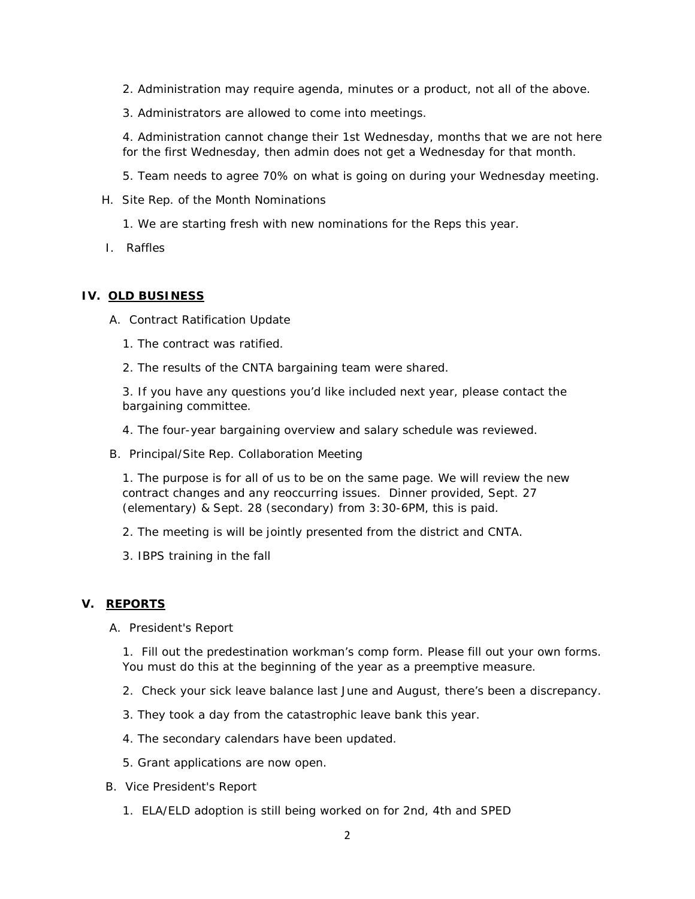- 2. Administration may require agenda, minutes or a product, not all of the above.
- 3. Administrators are allowed to come into meetings.

4. Administration cannot change their 1st Wednesday, months that we are not here for the first Wednesday, then admin does not get a Wednesday for that month.

- 5. Team needs to agree 70% on what is going on during your Wednesday meeting.
- H. Site Rep. of the Month Nominations
	- 1. We are starting fresh with new nominations for the Reps this year.
- I. Raffles

## **IV. OLD BUSINESS**

- A. Contract Ratification Update
	- 1. The contract was ratified.
	- 2. The results of the CNTA bargaining team were shared.

3. If you have any questions you'd like included next year, please contact the bargaining committee.

- 4. The four-year bargaining overview and salary schedule was reviewed.
- B. Principal/Site Rep. Collaboration Meeting

1. The purpose is for all of us to be on the same page. We will review the new contract changes and any reoccurring issues. Dinner provided, Sept. 27 (elementary) & Sept. 28 (secondary) from 3:30-6PM, this is paid.

- 2. The meeting is will be jointly presented from the district and CNTA.
- 3. IBPS training in the fall

# **V. REPORTS**

A. President's Report

1. Fill out the predestination workman's comp form. Please fill out your own forms. You must do this at the beginning of the year as a preemptive measure.

- 2. Check your sick leave balance last June and August, there's been a discrepancy.
- 3. They took a day from the catastrophic leave bank this year.
- 4. The secondary calendars have been updated.
- 5. Grant applications are now open.
- B. Vice President's Report
	- 1. ELA/ELD adoption is still being worked on for 2nd, 4th and SPED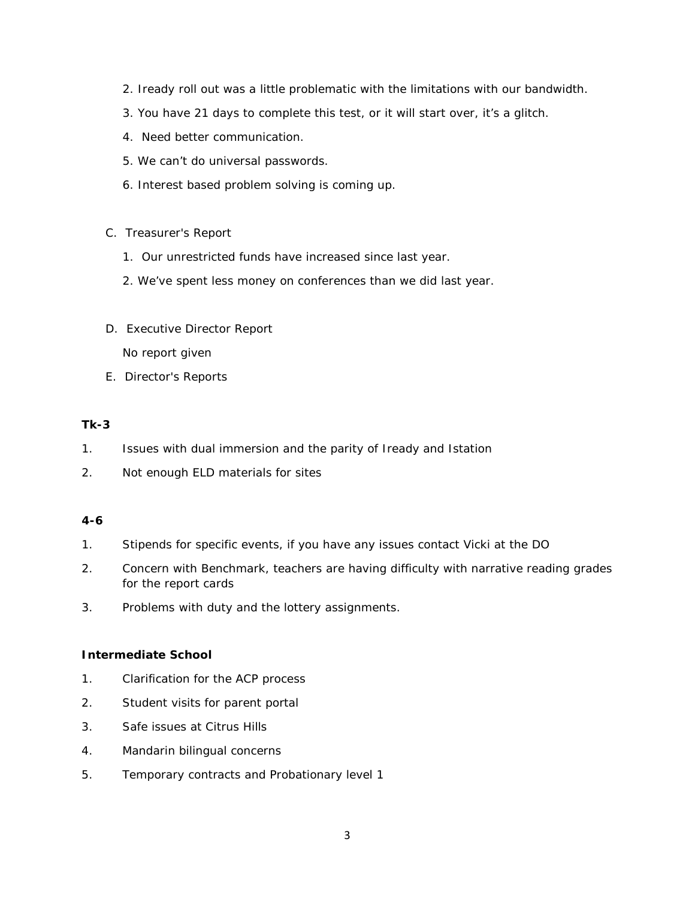- 2. Iready roll out was a little problematic with the limitations with our bandwidth.
- 3. You have 21 days to complete this test, or it will start over, it's a glitch.
- 4. Need better communication.
- 5. We can't do universal passwords.
- 6. Interest based problem solving is coming up.
- C. Treasurer's Report
	- 1. Our unrestricted funds have increased since last year.
	- 2. We've spent less money on conferences than we did last year.
- D. Executive Director Report No report given
- E. Director's Reports

# **Tk-3**

- 1. Issues with dual immersion and the parity of Iready and Istation
- 2. Not enough ELD materials for sites

## **4-6**

- 1. Stipends for specific events, if you have any issues contact Vicki at the DO
- 2. Concern with Benchmark, teachers are having difficulty with narrative reading grades for the report cards
- 3. Problems with duty and the lottery assignments.

## **Intermediate School**

- 1. Clarification for the ACP process
- 2. Student visits for parent portal
- 3. Safe issues at Citrus Hills
- 4. Mandarin bilingual concerns
- 5. Temporary contracts and Probationary level 1